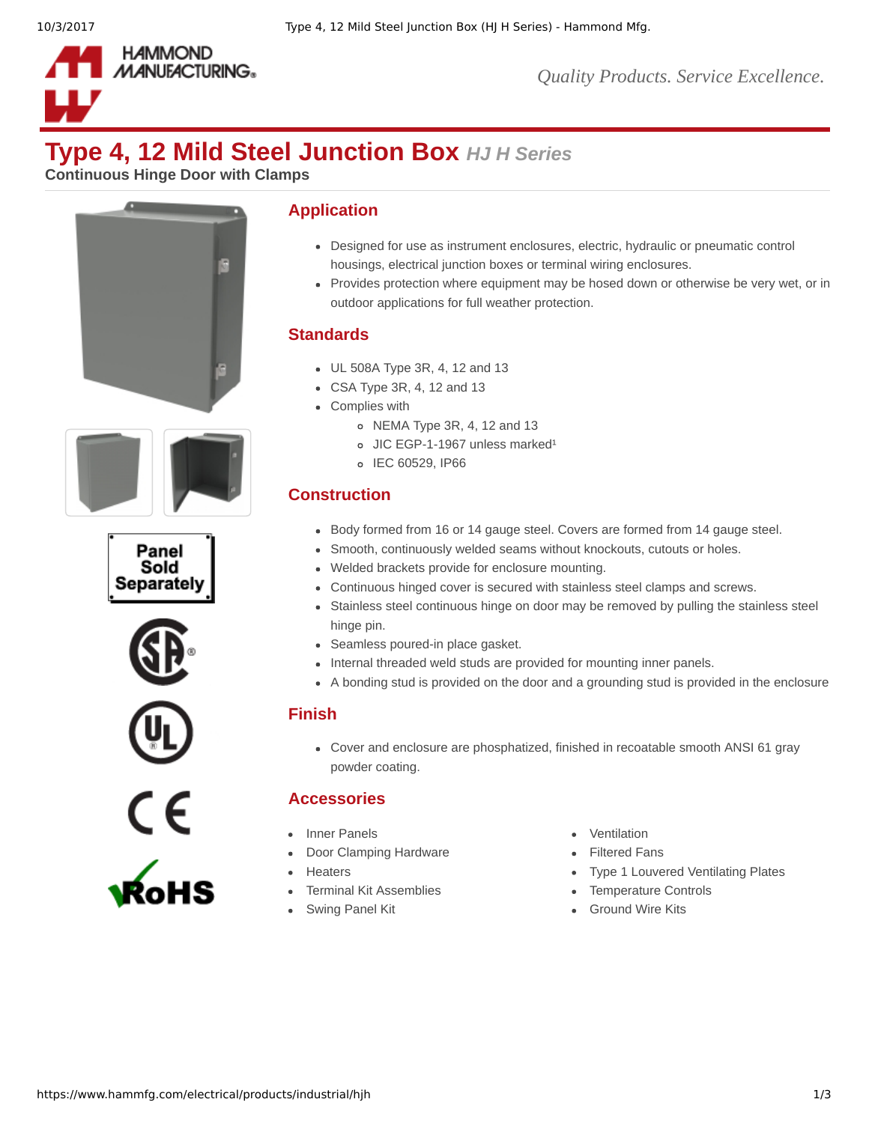

*Quality Products. Service Excellence.*

# **Type 4, 12 Mild Steel Junction Box** *HJ H Series*

**Continuous Hinge Door with Clamps**











# **Application**

- Designed for use as instrument enclosures, electric, hydraulic or pneumatic control housings, electrical junction boxes or terminal wiring enclosures.
- Provides protection where equipment may be hosed down or otherwise be very wet, or in outdoor applications for full weather protection.

### **Standards**

- UL 508A Type 3R, 4, 12 and 13
- CSA Type 3R, 4, 12 and 13
- Complies with
	- NEMA Type 3R, 4, 12 and 13
	- $o$  JIC EGP-1-1967 unless marked<sup>1</sup>
	- o IEC 60529, IP66

# **Construction**

- Body formed from 16 or 14 gauge steel. Covers are formed from 14 gauge steel.
- Smooth, continuously welded seams without knockouts, cutouts or holes.
- Welded brackets provide for enclosure mounting.
- Continuous hinged cover is secured with stainless steel clamps and screws.
- Stainless steel continuous hinge on door may be removed by pulling the stainless steel hinge pin.
- Seamless poured-in place gasket.
- Internal threaded weld studs are provided for mounting inner panels.
- A bonding stud is provided on the door and a grounding stud is provided in the enclosure

#### **Finish**

• Cover and enclosure are phosphatized, finished in recoatable smooth ANSI 61 gray powder coating.

# **Accessories**

- 
- [Door Clamping Hardware](https://www.hammfg.com/electrical/products/accessories/1481c?referer=835) **[Filtered Fans](https://www.hammfg.com/electrical/products/climate?referer=835#filtered-fans)**
- 
- 
- 
- [Inner Panels](https://www.hammfg.com/electrical/products/accessories/14p?referer=835) **[Ventilation](https://www.hammfg.com/electrical/products/climate?referer=835#ventilation)** 
	-
- [Heaters](https://www.hammfg.com/electrical/products/climate?referer=835#heating-products) **Heaters [Type 1 Louvered Ventilating Plates](https://www.hammfg.com/electrical/products/climate/1481l?referer=835)**
- [Terminal Kit Assemblies](https://www.hammfg.com/electrical/products/accessories/14tk?referer=835) **[Temperature Controls](https://www.hammfg.com/electrical/products/climate?referer=835#temperature-controls)**
- [Swing Panel Kit](https://www.hammfg.com/electrical/products/accessories/spk?referer=835) [Ground Wire Kits](https://www.hammfg.com/electrical/products/accessories/grdkit?referer=835)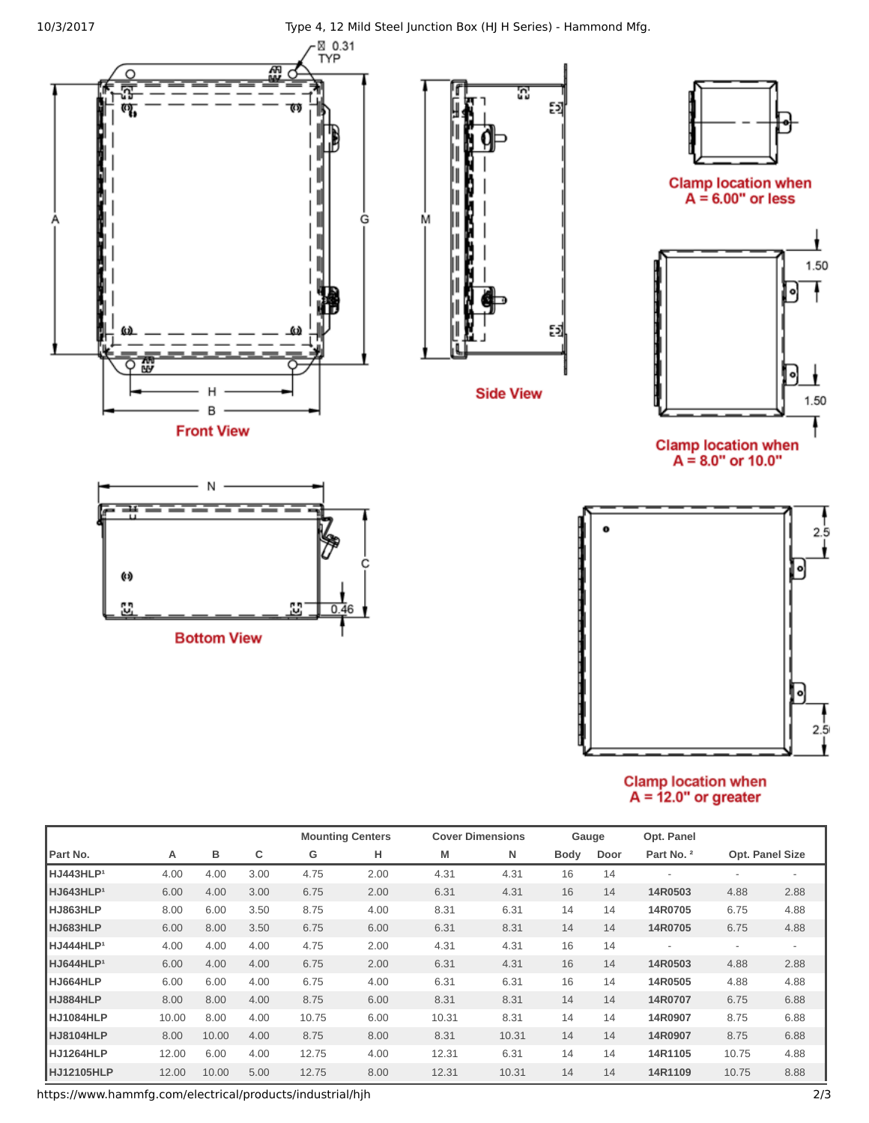10/3/2017 Type 4, 12 Mild Steel Junction Box (HJ H Series) - Hammond Mfg.



# Clamp location when<br>A =  $12.0$ " or greater

|                       |       |       |      | <b>Mounting Centers</b> |      | <b>Cover Dimensions</b> |       | Gauge       |      | Opt. Panel |                          |                 |
|-----------------------|-------|-------|------|-------------------------|------|-------------------------|-------|-------------|------|------------|--------------------------|-----------------|
| Part No.              | Α     | в     | с    | G                       | н    | M                       | N     | <b>Body</b> | Door | Part No. 2 |                          | Opt. Panel Size |
| HJ443HLP <sup>1</sup> | 4.00  | 4.00  | 3.00 | 4.75                    | 2.00 | 4.31                    | 4.31  | 16          | 14   |            | $\overline{a}$           |                 |
| HJ643HLP <sup>1</sup> | 6.00  | 4.00  | 3.00 | 6.75                    | 2.00 | 6.31                    | 4.31  | 16          | 14   | 14R0503    | 4.88                     | 2.88            |
| HJ863HLP              | 8.00  | 6.00  | 3.50 | 8.75                    | 4.00 | 8.31                    | 6.31  | 14          | 14   | 14R0705    | 6.75                     | 4.88            |
| HJ683HLP              | 6.00  | 8.00  | 3.50 | 6.75                    | 6.00 | 6.31                    | 8.31  | 14          | 14   | 14R0705    | 6.75                     | 4.88            |
| HJ444HLP <sup>1</sup> | 4.00  | 4.00  | 4.00 | 4.75                    | 2.00 | 4.31                    | 4.31  | 16          | 14   |            | $\overline{\phantom{a}}$ |                 |
| HJ644HLP <sup>1</sup> | 6.00  | 4.00  | 4.00 | 6.75                    | 2.00 | 6.31                    | 4.31  | 16          | 14   | 14R0503    | 4.88                     | 2.88            |
| HJ664HLP              | 6.00  | 6.00  | 4.00 | 6.75                    | 4.00 | 6.31                    | 6.31  | 16          | 14   | 14R0505    | 4.88                     | 4.88            |
| HJ884HLP              | 8.00  | 8.00  | 4.00 | 8.75                    | 6.00 | 8.31                    | 8.31  | 14          | 14   | 14R0707    | 6.75                     | 6.88            |
| HJ1084HLP             | 10.00 | 8.00  | 4.00 | 10.75                   | 6.00 | 10.31                   | 8.31  | 14          | 14   | 14R0907    | 8.75                     | 6.88            |
| HJ8104HLP             | 8.00  | 10.00 | 4.00 | 8.75                    | 8.00 | 8.31                    | 10.31 | 14          | 14   | 14R0907    | 8.75                     | 6.88            |
| HJ1264HLP             | 12.00 | 6.00  | 4.00 | 12.75                   | 4.00 | 12.31                   | 6.31  | 14          | 14   | 14R1105    | 10.75                    | 4.88            |
| HJ12105HLP            | 12.00 | 10.00 | 5.00 | 12.75                   | 8.00 | 12.31                   | 10.31 | 14          | 14   | 14R1109    | 10.75                    | 8.88            |

https://www.hammfg.com/electrical/products/industrial/hjh 2/3